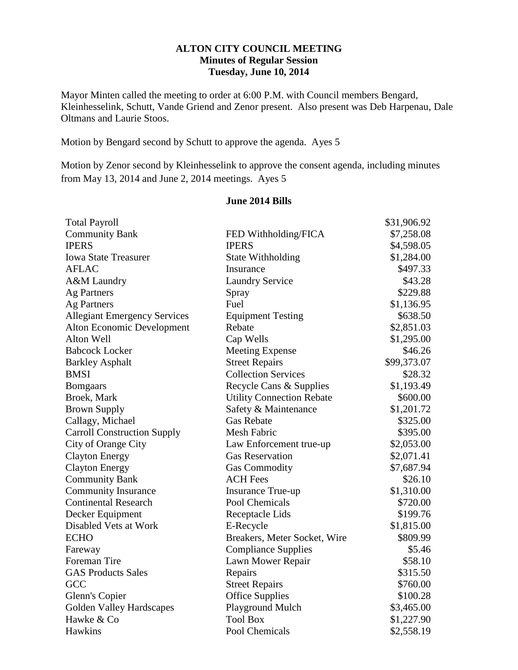## **ALTON CITY COUNCIL MEETING Minutes of Regular Session Tuesday, June 10, 2014**

Mayor Minten called the meeting to order at 6:00 P.M. with Council members Bengard, Kleinhesselink, Schutt, Vande Griend and Zenor present. Also present was Deb Harpenau, Dale Oltmans and Laurie Stoos.

Motion by Bengard second by Schutt to approve the agenda. Ayes 5

Motion by Zenor second by Kleinhesselink to approve the consent agenda, including minutes from May 13, 2014 and June 2, 2014 meetings. Ayes 5

### **June 2014 Bills**

| <b>Total Payroll</b>                |                                  | \$31,906.92 |
|-------------------------------------|----------------------------------|-------------|
| <b>Community Bank</b>               | FED Withholding/FICA             | \$7,258.08  |
| <b>IPERS</b>                        | <b>IPERS</b>                     | \$4,598.05  |
| <b>Iowa State Treasurer</b>         | <b>State Withholding</b>         | \$1,284.00  |
| <b>AFLAC</b>                        | Insurance                        | \$497.33    |
| A&M Laundry                         | <b>Laundry Service</b>           | \$43.28     |
| Ag Partners                         | Spray                            | \$229.88    |
| <b>Ag Partners</b>                  | Fuel                             | \$1,136.95  |
| <b>Allegiant Emergency Services</b> | <b>Equipment Testing</b>         | \$638.50    |
| Alton Economic Development          | Rebate                           | \$2,851.03  |
| Alton Well                          | Cap Wells                        | \$1,295.00  |
| <b>Babcock Locker</b>               | <b>Meeting Expense</b>           | \$46.26     |
| <b>Barkley Asphalt</b>              | <b>Street Repairs</b>            | \$99,373.07 |
| <b>BMSI</b>                         | <b>Collection Services</b>       | \$28.32     |
| <b>Bomgaars</b>                     | Recycle Cans & Supplies          | \$1,193.49  |
| Broek, Mark                         | <b>Utility Connection Rebate</b> | \$600.00    |
| <b>Brown Supply</b>                 | Safety & Maintenance             | \$1,201.72  |
| Callagy, Michael                    | <b>Gas Rebate</b>                | \$325.00    |
| <b>Carroll Construction Supply</b>  | Mesh Fabric                      | \$395.00    |
| City of Orange City                 | Law Enforcement true-up          | \$2,053.00  |
| <b>Clayton Energy</b>               | <b>Gas Reservation</b>           | \$2,071.41  |
| <b>Clayton Energy</b>               | <b>Gas Commodity</b>             | \$7,687.94  |
| <b>Community Bank</b>               | <b>ACH Fees</b>                  | \$26.10     |
| <b>Community Insurance</b>          | <b>Insurance True-up</b>         | \$1,310.00  |
| <b>Continental Research</b>         | Pool Chemicals                   | \$720.00    |
| Decker Equipment                    | Receptacle Lids                  | \$199.76    |
| Disabled Vets at Work               | E-Recycle                        | \$1,815.00  |
| <b>ECHO</b>                         | Breakers, Meter Socket, Wire     | \$809.99    |
| Fareway                             | <b>Compliance Supplies</b>       | \$5.46      |
| Foreman Tire                        | Lawn Mower Repair                | \$58.10     |
| <b>GAS Products Sales</b>           | Repairs                          | \$315.50    |
| GCC                                 | <b>Street Repairs</b>            | \$760.00    |
| Glenn's Copier                      | <b>Office Supplies</b>           | \$100.28    |
| <b>Golden Valley Hardscapes</b>     | Playground Mulch                 | \$3,465.00  |
| Hawke & Co                          | <b>Tool Box</b>                  | \$1,227.90  |
| Hawkins                             | Pool Chemicals                   | \$2,558.19  |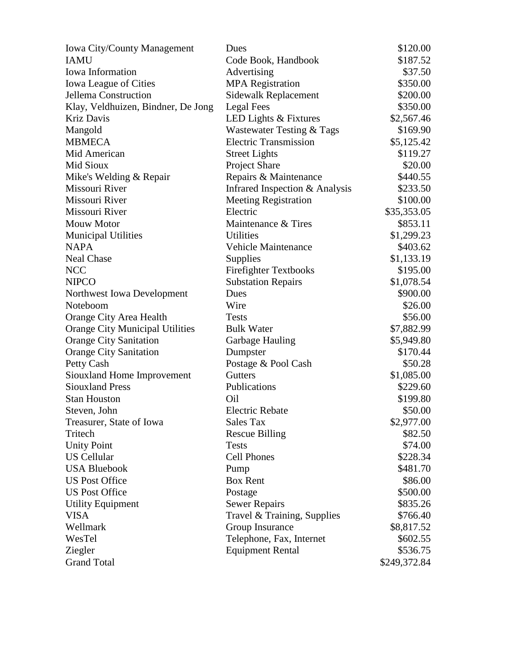| <b>Iowa City/County Management</b>     | Dues                           | \$120.00     |
|----------------------------------------|--------------------------------|--------------|
| <b>IAMU</b>                            | Code Book, Handbook            | \$187.52     |
| Iowa Information                       | Advertising                    | \$37.50      |
| <b>Iowa League of Cities</b>           | <b>MPA</b> Registration        | \$350.00     |
| Jellema Construction                   | Sidewalk Replacement           | \$200.00     |
| Klay, Veldhuizen, Bindner, De Jong     | Legal Fees                     | \$350.00     |
| Kriz Davis                             | LED Lights & Fixtures          | \$2,567.46   |
| Mangold                                | Wastewater Testing & Tags      | \$169.90     |
| <b>MBMECA</b>                          | <b>Electric Transmission</b>   | \$5,125.42   |
| Mid American                           | <b>Street Lights</b>           | \$119.27     |
| Mid Sioux                              | <b>Project Share</b>           | \$20.00      |
| Mike's Welding & Repair                | Repairs & Maintenance          | \$440.55     |
| Missouri River                         | Infrared Inspection & Analysis | \$233.50     |
| Missouri River                         | <b>Meeting Registration</b>    | \$100.00     |
| Missouri River                         | Electric                       | \$35,353.05  |
| <b>Mouw Motor</b>                      | Maintenance & Tires            | \$853.11     |
| <b>Municipal Utilities</b>             | <b>Utilities</b>               | \$1,299.23   |
| <b>NAPA</b>                            | <b>Vehicle Maintenance</b>     | \$403.62     |
| <b>Neal Chase</b>                      | Supplies                       | \$1,133.19   |
| <b>NCC</b>                             | <b>Firefighter Textbooks</b>   | \$195.00     |
| <b>NIPCO</b>                           | <b>Substation Repairs</b>      | \$1,078.54   |
| Northwest Iowa Development             | Dues                           | \$900.00     |
| Noteboom                               | Wire                           | \$26.00      |
| Orange City Area Health                | <b>Tests</b>                   | \$56.00      |
| <b>Orange City Municipal Utilities</b> | <b>Bulk Water</b>              | \$7,882.99   |
| <b>Orange City Sanitation</b>          | Garbage Hauling                | \$5,949.80   |
| <b>Orange City Sanitation</b>          | Dumpster                       | \$170.44     |
| Petty Cash                             | Postage & Pool Cash            | \$50.28      |
| Siouxland Home Improvement             | <b>Gutters</b>                 | \$1,085.00   |
| <b>Siouxland Press</b>                 | Publications                   | \$229.60     |
| <b>Stan Houston</b>                    | Oil                            | \$199.80     |
| Steven, John                           | <b>Electric Rebate</b>         | \$50.00      |
| Treasurer, State of Iowa               | Sales Tax                      | \$2,977.00   |
| Tritech                                | <b>Rescue Billing</b>          | \$82.50      |
| <b>Unity Point</b>                     | <b>Tests</b>                   | \$74.00      |
| <b>US</b> Cellular                     | <b>Cell Phones</b>             | \$228.34     |
| <b>USA Bluebook</b>                    | Pump                           | \$481.70     |
| <b>US Post Office</b>                  | <b>Box Rent</b>                | \$86.00      |
| <b>US Post Office</b>                  | Postage                        | \$500.00     |
| <b>Utility Equipment</b>               | <b>Sewer Repairs</b>           | \$835.26     |
| <b>VISA</b>                            | Travel & Training, Supplies    | \$766.40     |
| Wellmark                               | Group Insurance                | \$8,817.52   |
| WesTel                                 | Telephone, Fax, Internet       | \$602.55     |
| Ziegler                                | <b>Equipment Rental</b>        | \$536.75     |
| <b>Grand Total</b>                     |                                | \$249,372.84 |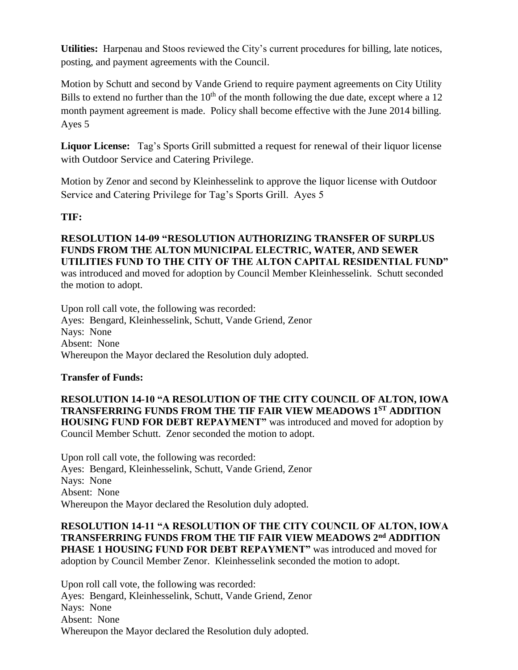**Utilities:** Harpenau and Stoos reviewed the City's current procedures for billing, late notices, posting, and payment agreements with the Council.

Motion by Schutt and second by Vande Griend to require payment agreements on City Utility Bills to extend no further than the  $10<sup>th</sup>$  of the month following the due date, except where a 12 month payment agreement is made. Policy shall become effective with the June 2014 billing. Ayes 5

**Liquor License:** Tag's Sports Grill submitted a request for renewal of their liquor license with Outdoor Service and Catering Privilege.

Motion by Zenor and second by Kleinhesselink to approve the liquor license with Outdoor Service and Catering Privilege for Tag's Sports Grill. Ayes 5

# **TIF:**

**RESOLUTION 14-09 "RESOLUTION AUTHORIZING TRANSFER OF SURPLUS FUNDS FROM THE ALTON MUNICIPAL ELECTRIC, WATER, AND SEWER UTILITIES FUND TO THE CITY OF THE ALTON CAPITAL RESIDENTIAL FUND"** was introduced and moved for adoption by Council Member Kleinhesselink. Schutt seconded the motion to adopt.

Upon roll call vote, the following was recorded: Ayes: Bengard, Kleinhesselink, Schutt, Vande Griend, Zenor Nays: None Absent: None Whereupon the Mayor declared the Resolution duly adopted.

# **Transfer of Funds:**

**RESOLUTION 14-10 "A RESOLUTION OF THE CITY COUNCIL OF ALTON, IOWA TRANSFERRING FUNDS FROM THE TIF FAIR VIEW MEADOWS 1ST ADDITION HOUSING FUND FOR DEBT REPAYMENT"** was introduced and moved for adoption by Council Member Schutt. Zenor seconded the motion to adopt.

Upon roll call vote, the following was recorded: Ayes: Bengard, Kleinhesselink, Schutt, Vande Griend, Zenor Nays: None Absent: None Whereupon the Mayor declared the Resolution duly adopted.

**RESOLUTION 14-11 "A RESOLUTION OF THE CITY COUNCIL OF ALTON, IOWA TRANSFERRING FUNDS FROM THE TIF FAIR VIEW MEADOWS 2nd ADDITION PHASE 1 HOUSING FUND FOR DEBT REPAYMENT"** was introduced and moved for adoption by Council Member Zenor. Kleinhesselink seconded the motion to adopt.

Upon roll call vote, the following was recorded: Ayes: Bengard, Kleinhesselink, Schutt, Vande Griend, Zenor Nays: None Absent: None Whereupon the Mayor declared the Resolution duly adopted.